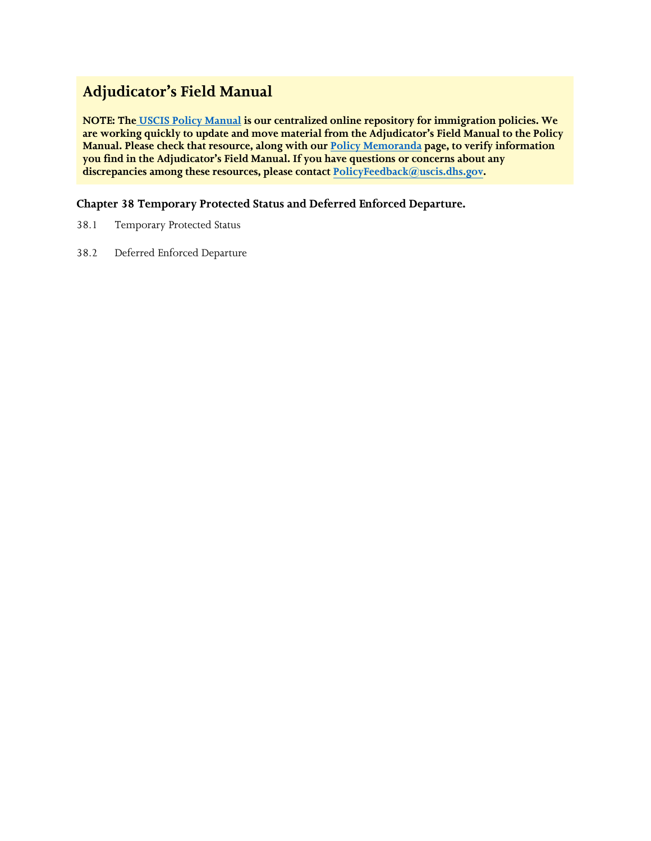# **Adjudicator's Field Manual**

**NOTE: The [USCIS Policy Manual](https://www.uscis.gov/policy-manual) is our centralized online repository for immigration policies. We are working quickly to update and move material from the Adjudicator's Field Manual to the Policy Manual. Please check that resource, along with our [Policy Memoranda](https://www.uscis.gov/legal-resources/policy-memoranda) page, to verify information you find in the Adjudicator's Field Manual. If you have questions or concerns about any discrepancies among these resources, please contact PolicyFeedback[@uscis.dhs.gov.](mailto:PolicyFeedback@uscis.dhs.gov)** 

# **Chapter 38 Temporary Protected Status and Deferred Enforced Departure.**

- 38.1 Temporary Protected Status
- 38.2 Deferred Enforced Departure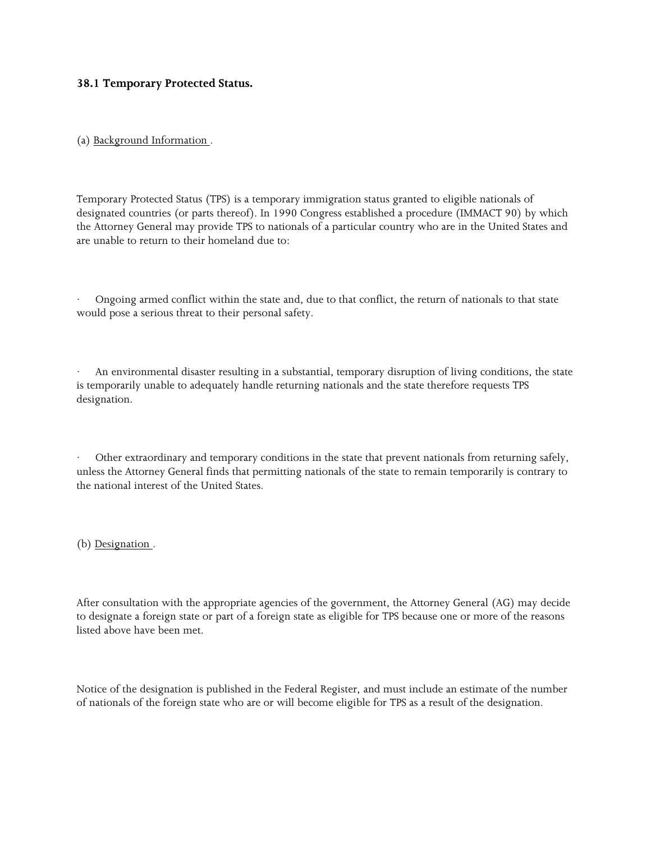## **38.1 Temporary Protected Status.**

(a) Background Information .

 the Attorney General may provide TPS to nationals of a particular country who are in the United States and Temporary Protected Status (TPS) is a temporary immigration status granted to eligible nationals of designated countries (or parts thereof). In 1990 Congress established a procedure (IMMACT 90) by which are unable to return to their homeland due to:

 would pose a serious threat to their personal safety. Ongoing armed conflict within the state and, due to that conflict, the return of nationals to that state

 is temporarily unable to adequately handle returning nationals and the state therefore requests TPS · An environmental disaster resulting in a substantial, temporary disruption of living conditions, the state designation.

 unless the Attorney General finds that permitting nationals of the state to remain temporarily is contrary to the national interest of the United States. Other extraordinary and temporary conditions in the state that prevent nationals from returning safely,

(b) Designation .

 After consultation with the appropriate agencies of the government, the Attorney General (AG) may decide to designate a foreign state or part of a foreign state as eligible for TPS because one or more of the reasons listed above have been met.

Notice of the designation is published in the Federal Register, and must include an estimate of the number of nationals of the foreign state who are or will become eligible for TPS as a result of the designation.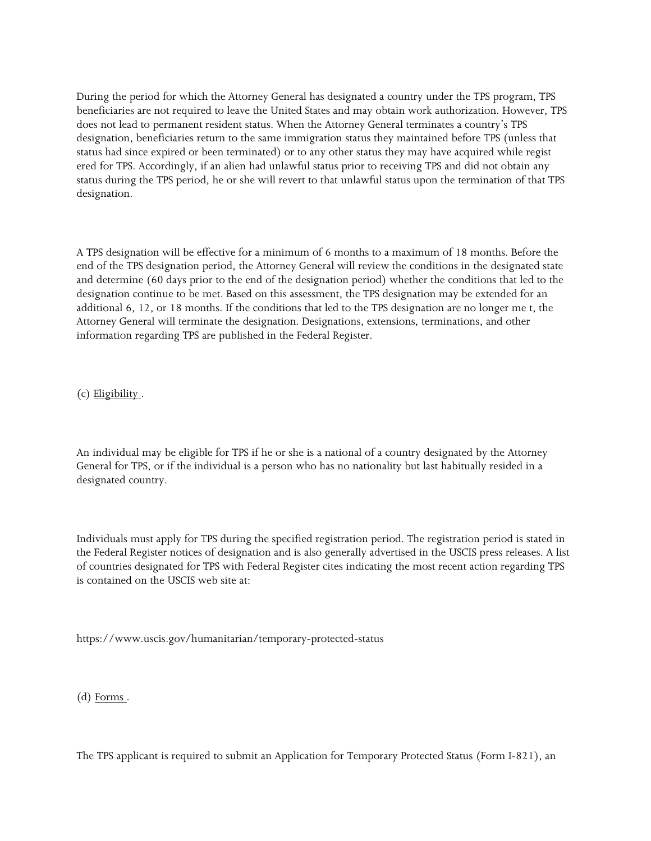During the period for which the Attorney General has designated a country under the TPS program, TPS beneficiaries are not required to leave the United States and may obtain work authorization. However, TPS does not lead to permanent resident status. When the Attorney General terminates a country's TPS designation, beneficiaries return to the same immigration status they maintained before TPS (unless that status had since expired or been terminated) or to any other status they may have acquired while regist ered for TPS. Accordingly, if an alien had unlawful status prior to receiving TPS and did not obtain any status during the TPS period, he or she will revert to that unlawful status upon the termination of that TPS designation.

 end of the TPS designation period, the Attorney General will review the conditions in the designated state additional 6, 12, or 18 months. If the conditions that led to the TPS designation are no longer me t, the A TPS designation will be effective for a minimum of 6 months to a maximum of 18 months. Before the and determine (60 days prior to the end of the designation period) whether the conditions that led to the designation continue to be met. Based on this assessment, the TPS designation may be extended for an Attorney General will terminate the designation. Designations, extensions, terminations, and other information regarding TPS are published in the Federal Register.

(c) Eligibility .

 An individual may be eligible for TPS if he or she is a national of a country designated by the Attorney General for TPS, or if the individual is a person who has no nationality but last habitually resided in a designated country.

 Individuals must apply for TPS during the specified registration period. The registration period is stated in the Federal Register notices of designation and is also generally advertised in the USCIS press releases. A list of countries designated for TPS with Federal Register cites indicating the most recent action regarding TPS is contained on the USCIS web site at:

<https://www.uscis.gov/humanitarian/temporary-protected-status>

(d) Forms .

The TPS applicant is required to submit an Application for Temporary Protected Status (Form I-821), an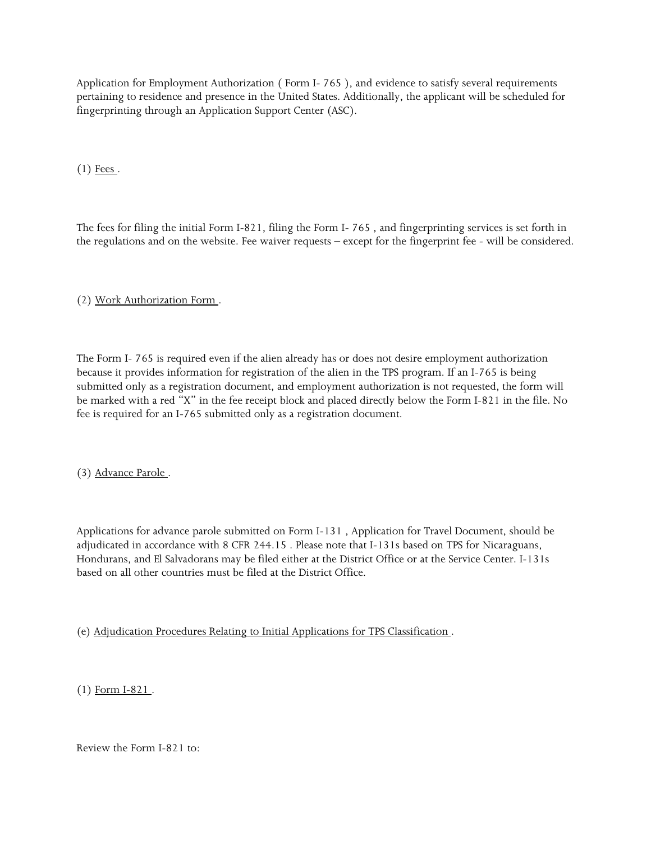Application for Employment Authorization ( Form I- 765 ), and evidence to satisfy several requirements pertaining to residence and presence in the United States. Additionally, the applicant will be scheduled for fingerprinting through an Application Support Center (ASC).

 $(1)$  Fees.

 The fees for filing the initial Form I-821, filing the Form I- 765 , and fingerprinting services is set forth in the regulations and on the website. Fee waiver requests – except for the fingerprint fee - will be considered.

(2) Work Authorization Form .

 The Form I- 765 is required even if the alien already has or does not desire employment authorization submitted only as a registration document, and employment authorization is not requested, the form will because it provides information for registration of the alien in the TPS program. If an I-765 is being be marked with a red "X" in the fee receipt block and placed directly below the Form I-821 in the file. No fee is required for an I-765 submitted only as a registration document.

(3) Advance Parole .

 Applications for advance parole submitted on Form I-131 , Application for Travel Document, should be adjudicated in accordance with 8 CFR 244.15 . Please note that I-131s based on TPS for Nicaraguans, Hondurans, and El Salvadorans may be filed either at the District Office or at the Service Center. I-131s based on all other countries must be filed at the District Office.

(e) Adjudication Procedures Relating to Initial Applications for TPS Classification .

(1) Form I-821 .

Review the Form I-821 to: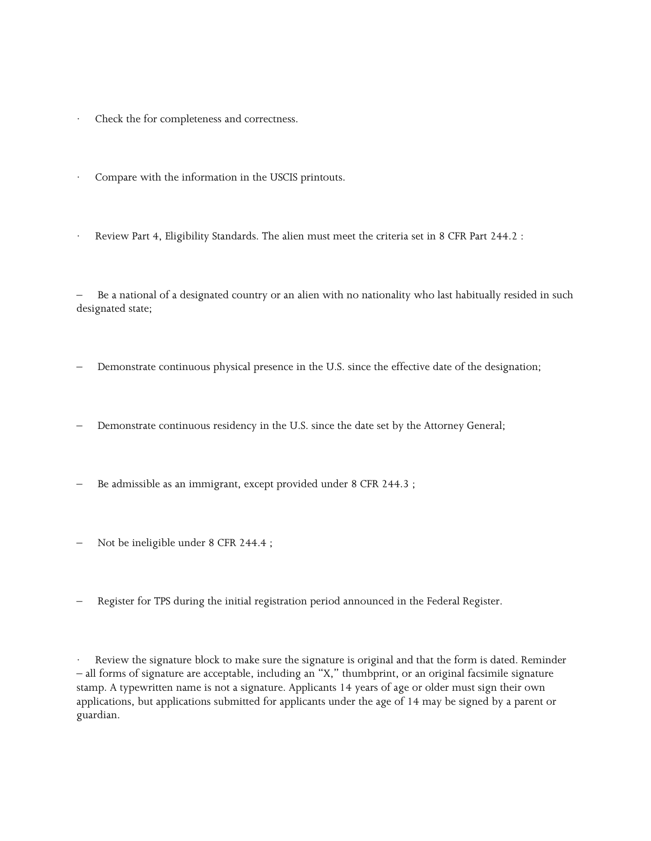- Check the for completeness and correctness.
- Compare with the information in the USCIS printouts.
- Review Part 4, Eligibility Standards. The alien must meet the criteria set in 8 CFR Part 244.2 :

– Be a national of a designated country or an alien with no nationality who last habitually resided in such designated state;

- Demonstrate continuous physical presence in the U.S. since the effective date of the designation;
- Demonstrate continuous residency in the U.S. since the date set by the Attorney General;
- Be admissible as an immigrant, except provided under 8 CFR 244.3;
- Not be ineligible under 8 CFR 244.4 ;
- Register for TPS during the initial registration period announced in the Federal Register.

 stamp. A typewritten name is not a signature. Applicants 14 years of age or older must sign their own applications, but applications submitted for applicants under the age of 14 may be signed by a parent or Review the signature block to make sure the signature is original and that the form is dated. Reminder – all forms of signature are acceptable, including an "X," thumbprint, or an original facsimile signature guardian.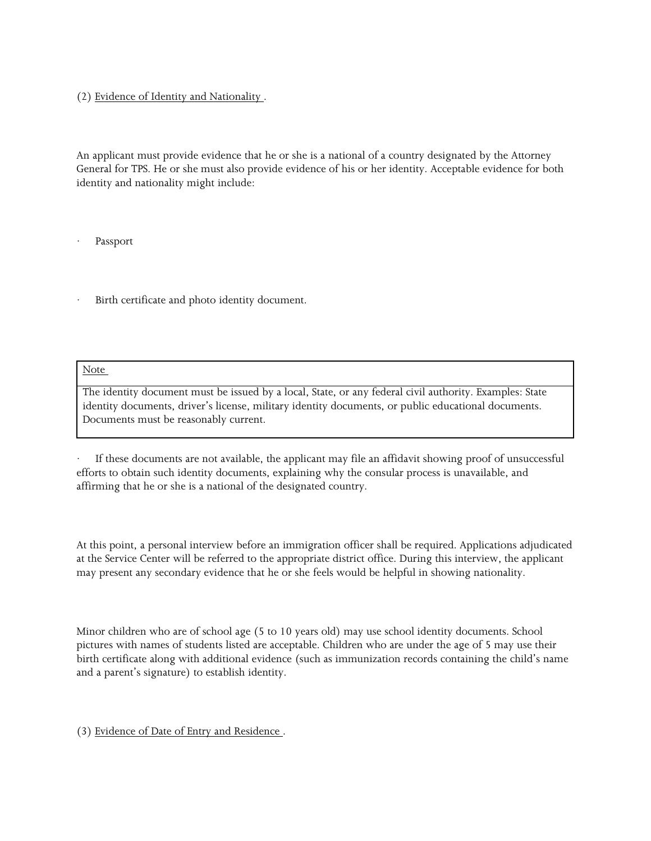## (2) Evidence of Identity and Nationality .

 General for TPS. He or she must also provide evidence of his or her identity. Acceptable evidence for both An applicant must provide evidence that he or she is a national of a country designated by the Attorney identity and nationality might include:

**Passport** 

Birth certificate and photo identity document.

Note

Documents must be reasonably current. The identity document must be issued by a local, State, or any federal civil authority. Examples: State identity documents, driver's license, military identity documents, or public educational documents.

 affirming that he or she is a national of the designated country. If these documents are not available, the applicant may file an affidavit showing proof of unsuccessful efforts to obtain such identity documents, explaining why the consular process is unavailable, and

 At this point, a personal interview before an immigration officer shall be required. Applications adjudicated at the Service Center will be referred to the appropriate district office. During this interview, the applicant may present any secondary evidence that he or she feels would be helpful in showing nationality.

 Minor children who are of school age (5 to 10 years old) may use school identity documents. School pictures with names of students listed are acceptable. Children who are under the age of 5 may use their birth certificate along with additional evidence (such as immunization records containing the child's name and a parent's signature) to establish identity.

(3) Evidence of Date of Entry and Residence .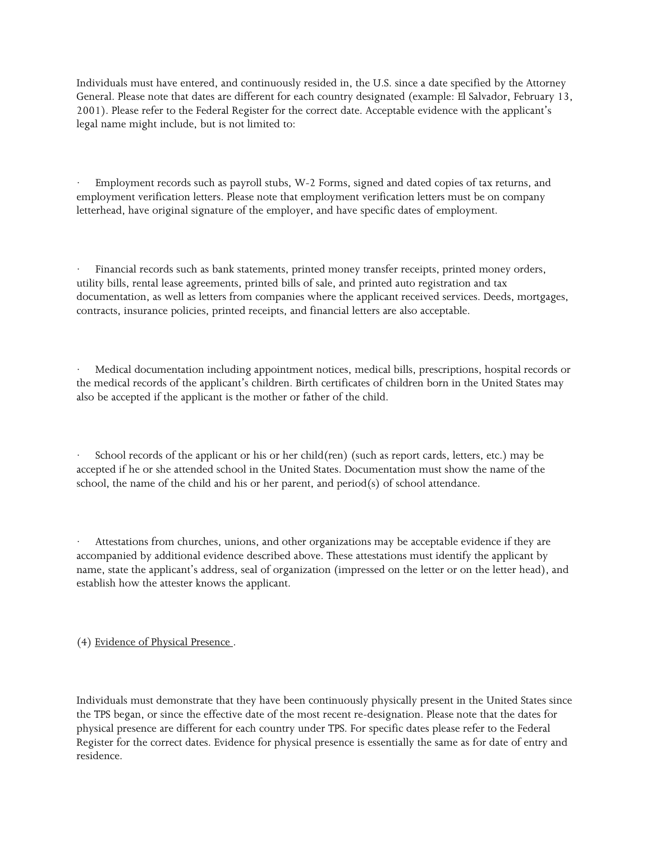Individuals must have entered, and continuously resided in, the U.S. since a date specified by the Attorney General. Please note that dates are different for each country designated (example: El Salvador, February 13, 2001). Please refer to the Federal Register for the correct date. Acceptable evidence with the applicant's legal name might include, but is not limited to:

 employment verification letters. Please note that employment verification letters must be on company Employment records such as payroll stubs, W-2 Forms, signed and dated copies of tax returns, and letterhead, have original signature of the employer, and have specific dates of employment.

 documentation, as well as letters from companies where the applicant received services. Deeds, mortgages, Financial records such as bank statements, printed money transfer receipts, printed money orders, utility bills, rental lease agreements, printed bills of sale, and printed auto registration and tax contracts, insurance policies, printed receipts, and financial letters are also acceptable.

 the medical records of the applicant's children. Birth certificates of children born in the United States may also be accepted if the applicant is the mother or father of the child. Medical documentation including appointment notices, medical bills, prescriptions, hospital records or

School records of the applicant or his or her child(ren) (such as report cards, letters, etc.) may be accepted if he or she attended school in the United States. Documentation must show the name of the school, the name of the child and his or her parent, and period(s) of school attendance.

 name, state the applicant's address, seal of organization (impressed on the letter or on the letter head), and Attestations from churches, unions, and other organizations may be acceptable evidence if they are accompanied by additional evidence described above. These attestations must identify the applicant by establish how the attester knows the applicant.

(4) Evidence of Physical Presence .

Individuals must demonstrate that they have been continuously physically present in the United States since the TPS began, or since the effective date of the most recent re-designation. Please note that the dates for physical presence are different for each country under TPS. For specific dates please refer to the Federal Register for the correct dates. Evidence for physical presence is essentially the same as for date of entry and residence.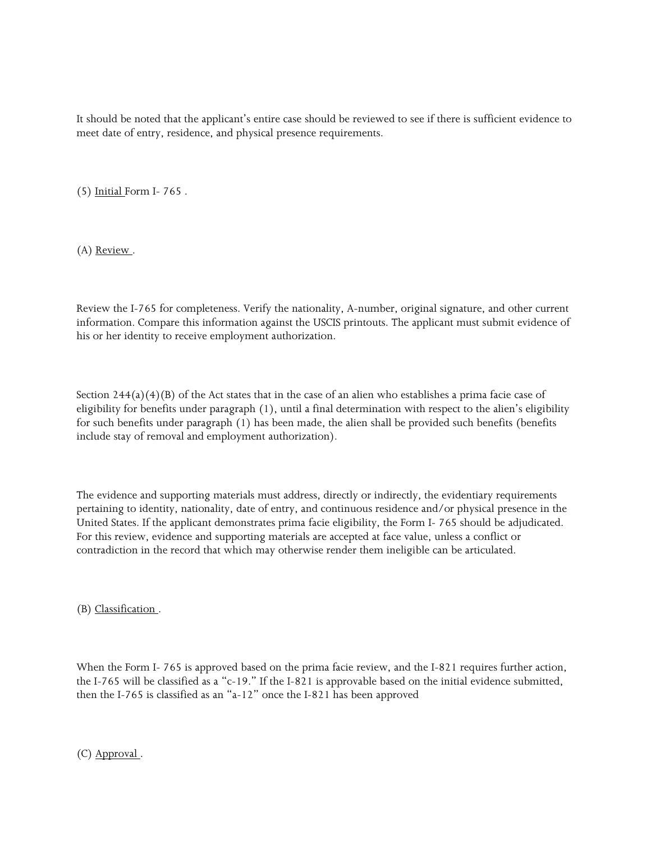It should be noted that the applicant's entire case should be reviewed to see if there is sufficient evidence to meet date of entry, residence, and physical presence requirements.

(5) Initial Form I- 765 .

(A) Review.

 Review the I-765 for completeness. Verify the nationality, A-number, original signature, and other current information. Compare this information against the USCIS printouts. The applicant must submit evidence of his or her identity to receive employment authorization.

Section  $244(a)(4)(B)$  of the Act states that in the case of an alien who establishes a prima facie case of eligibility for benefits under paragraph (1), until a final determination with respect to the alien's eligibility for such benefits under paragraph (1) has been made, the alien shall be provided such benefits (benefits include stay of removal and employment authorization).

 United States. If the applicant demonstrates prima facie eligibility, the Form I- 765 should be adjudicated. The evidence and supporting materials must address, directly or indirectly, the evidentiary requirements pertaining to identity, nationality, date of entry, and continuous residence and/or physical presence in the For this review, evidence and supporting materials are accepted at face value, unless a conflict or contradiction in the record that which may otherwise render them ineligible can be articulated.

(B) Classification .

 When the Form I- 765 is approved based on the prima facie review, and the I-821 requires further action, the I-765 will be classified as a "c-19." If the I-821 is approvable based on the initial evidence submitted, then the I-765 is classified as an "a-12" once the I-821 has been approved

(C) Approval .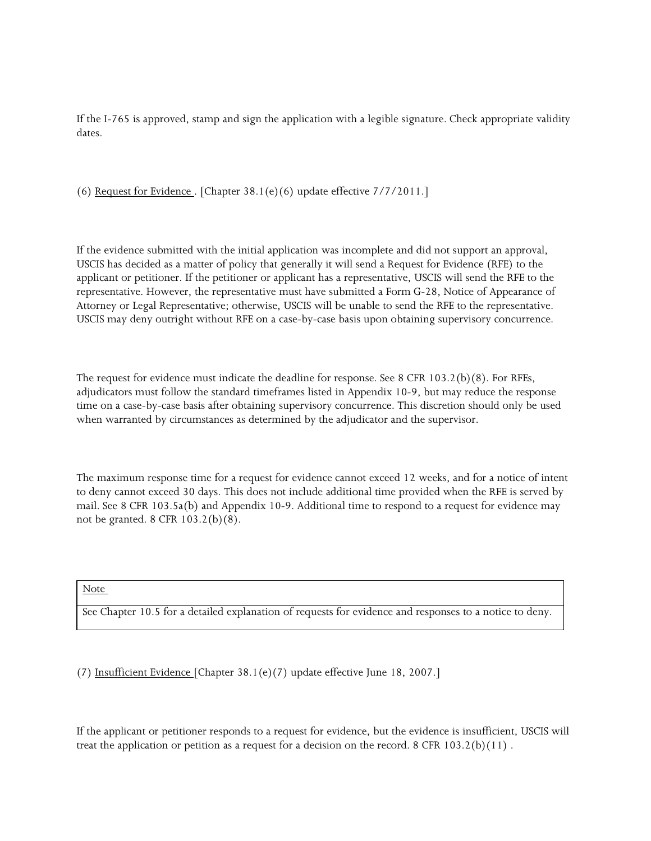If the I-765 is approved, stamp and sign the application with a legible signature. Check appropriate validity dates.

(6) Request for Evidence . [Chapter 38.1(e)(6) update effective 7/7/2011.]

 applicant or petitioner. If the petitioner or applicant has a representative, USCIS will send the RFE to the If the evidence submitted with the initial application was incomplete and did not support an approval, USCIS has decided as a matter of policy that generally it will send a Request for Evidence (RFE) to the representative. However, the representative must have submitted a Form G-28, Notice of Appearance of Attorney or Legal Representative; otherwise, USCIS will be unable to send the RFE to the representative. USCIS may deny outright without RFE on a case-by-case basis upon obtaining supervisory concurrence.

 The request for evidence must indicate the deadline for response. See 8 CFR 103.2(b)(8). For RFEs, adjudicators must follow the standard timeframes listed in Appendix 10-9, but may reduce the response when warranted by circumstances as determined by the adjudicator and the supervisor. time on a case-by-case basis after obtaining supervisory concurrence. This discretion should only be used

 to deny cannot exceed 30 days. This does not include additional time provided when the RFE is served by mail. See 8 CFR 103.5a(b) and Appendix 10-9. Additional time to respond to a request for evidence may The maximum response time for a request for evidence cannot exceed 12 weeks, and for a notice of intent not be granted. 8 CFR 103.2(b)(8).

Note

See Chapter 10.5 for a detailed explanation of requests for evidence and responses to a notice to deny.

(7) Insufficient Evidence [Chapter 38.1(e)(7) update effective June 18, 2007.]

If the applicant or petitioner responds to a request for evidence, but the evidence is insufficient, USCIS will treat the application or petition as a request for a decision on the record. 8 CFR 103.2(b)(11).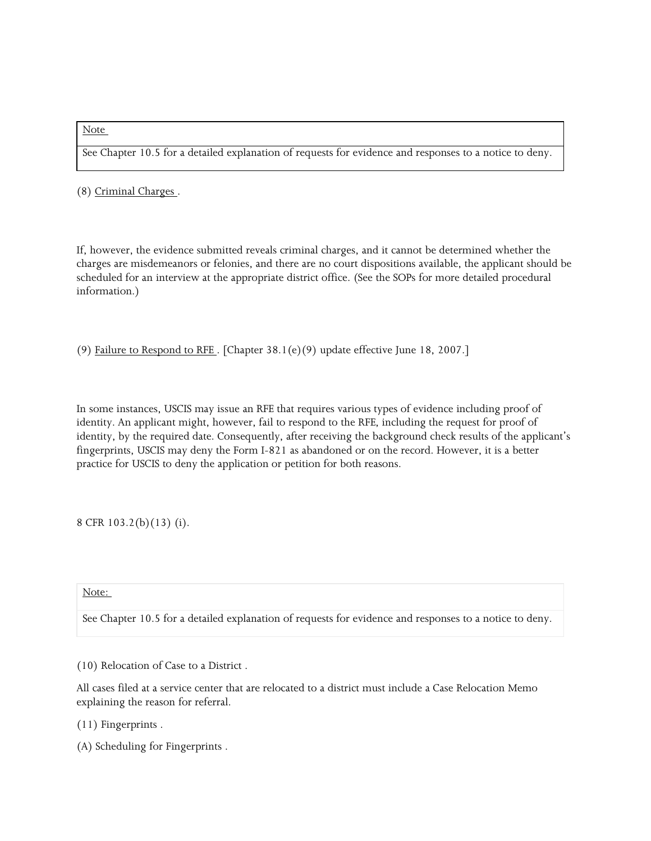#### Note

See Chapter 10.5 for a detailed explanation of requests for evidence and responses to a notice to deny.

(8) Criminal Charges .

 If, however, the evidence submitted reveals criminal charges, and it cannot be determined whether the charges are misdemeanors or felonies, and there are no court dispositions available, the applicant should be scheduled for an interview at the appropriate district office. (See the SOPs for more detailed procedural information.)

(9) Failure to Respond to RFE . [Chapter 38.1(e)(9) update effective June 18, 2007.]

 identity. An applicant might, however, fail to respond to the RFE, including the request for proof of In some instances, USCIS may issue an RFE that requires various types of evidence including proof of identity, by the required date. Consequently, after receiving the background check results of the applicant's fingerprints, USCIS may deny the Form I-821 as abandoned or on the record. However, it is a better practice for USCIS to deny the application or petition for both reasons.

8 CFR 103.2(b)(13) (i).

#### Note:

See Chapter 10.5 for a detailed explanation of requests for evidence and responses to a notice to deny.

(10) Relocation of Case to a District .

All cases filed at a service center that are relocated to a district must include a Case Relocation Memo explaining the reason for referral.

- (11) Fingerprints .
- (A) Scheduling for Fingerprints .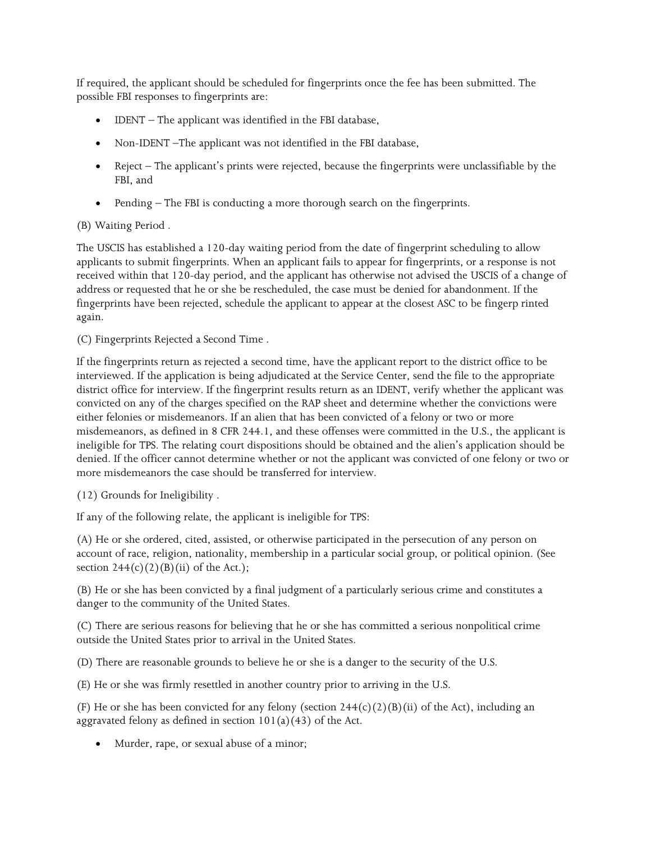If required, the applicant should be scheduled for fingerprints once the fee has been submitted. The possible FBI responses to fingerprints are:

- IDENT The applicant was identified in the FBI database,
- Non-IDENT –The applicant was not identified in the FBI database,
- • Reject The applicant's prints were rejected, because the fingerprints were unclassifiable by the FBI, and
- Pending The FBI is conducting a more thorough search on the fingerprints.

# (B) Waiting Period .

 The USCIS has established a 120-day waiting period from the date of fingerprint scheduling to allow applicants to submit fingerprints. When an applicant fails to appear for fingerprints, or a response is not address or requested that he or she be rescheduled, the case must be denied for abandonment. If the fingerprints have been rejected, schedule the applicant to appear at the closest ASC to be fingerp rinted received within that 120-day period, and the applicant has otherwise not advised the USCIS of a change of again.

(C) Fingerprints Rejected a Second Time .

 If the fingerprints return as rejected a second time, have the applicant report to the district office to be district office for interview. If the fingerprint results return as an IDENT, verify whether the applicant was ineligible for TPS. The relating court dispositions should be obtained and the alien's application should be denied. If the officer cannot determine whether or not the applicant was convicted of one felony or two or interviewed. If the application is being adjudicated at the Service Center, send the file to the appropriate convicted on any of the charges specified on the RAP sheet and determine whether the convictions were either felonies or misdemeanors. If an alien that has been convicted of a felony or two or more misdemeanors, as defined in 8 CFR 244.1, and these offenses were committed in the U.S., the applicant is more misdemeanors the case should be transferred for interview.

(12) Grounds for Ineligibility .

If any of the following relate, the applicant is ineligible for TPS:

 account of race, religion, nationality, membership in a particular social group, or political opinion. (See section  $244(c)(2)(B)(ii)$  of the Act.); (A) He or she ordered, cited, assisted, or otherwise participated in the persecution of any person on

(B) He or she has been convicted by a final judgment of a particularly serious crime and constitutes a danger to the community of the United States.

 (C) There are serious reasons for believing that he or she has committed a serious nonpolitical crime outside the United States prior to arrival in the United States.

(D) There are reasonable grounds to believe he or she is a danger to the security of the U.S.

(E) He or she was firmly resettled in another country prior to arriving in the U.S.

aggravated felony as defined in section  $101(a)(43)$  of the Act. (F) He or she has been convicted for any felony (section  $244(c)(2)(B)(ii)$  of the Act), including an

• Murder, rape, or sexual abuse of a minor;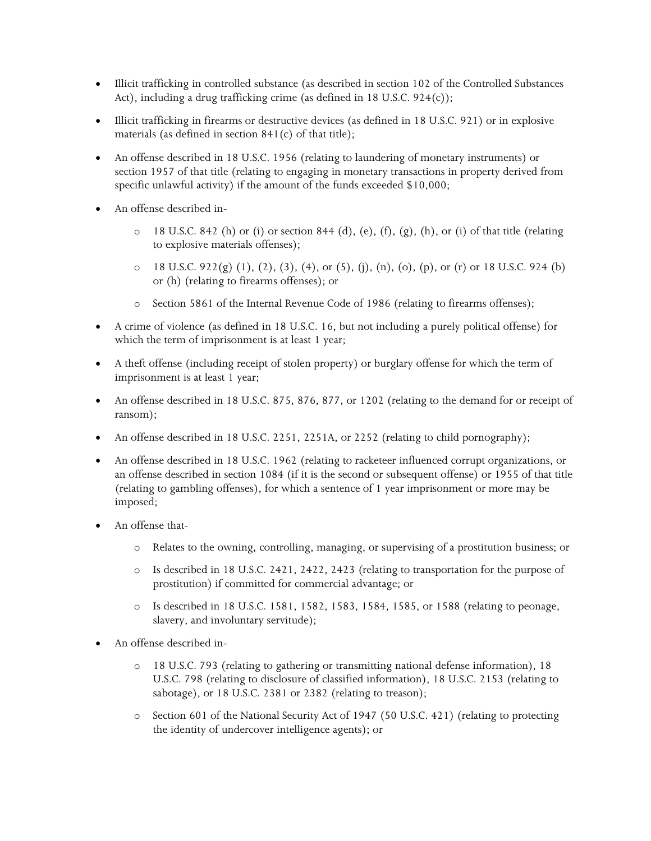- Illicit trafficking in controlled substance (as described in section 102 of the Controlled Substances Act), including a drug trafficking crime (as defined in 18 U.S.C. 924(c));
- • Illicit trafficking in firearms or destructive devices (as defined in 18 U.S.C. 921) or in explosive materials (as defined in section 841(c) of that title);
- • An offense described in 18 U.S.C. 1956 (relating to laundering of monetary instruments) or section 1957 of that title (relating to engaging in monetary transactions in property derived from specific unlawful activity) if the amount of the funds exceeded \$10,000;
- An offense described in-
	- $\circ$  18 U.S.C. 842 (h) or (i) or section 844 (d), (e), (f), (g), (h), or (i) of that title (relating to explosive materials offenses);
	- o 18 U.S.C. 922(g) (1), (2), (3), (4), or (5), (j), (n), (o), (p), or (r) or 18 U.S.C. 924 (b) or (h) (relating to firearms offenses); or
	- o Section 5861 of the Internal Revenue Code of 1986 (relating to firearms offenses);
- • A crime of violence (as defined in 18 U.S.C. 16, but not including a purely political offense) for which the term of imprisonment is at least 1 year;
- • A theft offense (including receipt of stolen property) or burglary offense for which the term of imprisonment is at least 1 year;
- • An offense described in 18 U.S.C. 875, 876, 877, or 1202 (relating to the demand for or receipt of ransom);
- An offense described in 18 U.S.C. 2251, 2251A, or 2252 (relating to child pornography);
- an offense described in section 1084 (if it is the second or subsequent offense) or 1955 of that title (relating to gambling offenses), for which a sentence of 1 year imprisonment or more may be • An offense described in 18 U.S.C. 1962 (relating to racketeer influenced corrupt organizations, or imposed;
- An offense that
	- o Relates to the owning, controlling, managing, or supervising of a prostitution business; or
	- o Is described in 18 U.S.C. 2421, 2422, 2423 (relating to transportation for the purpose of prostitution) if committed for commercial advantage; or
	- o Is described in 18 U.S.C. 1581, 1582, 1583, 1584, 1585, or 1588 (relating to peonage, slavery, and involuntary servitude);
- An offense described in-
	- U.S.C. 798 (relating to disclosure of classified information), 18 U.S.C. 2153 (relating to o 18 U.S.C. 793 (relating to gathering or transmitting national defense information), 18 sabotage), or 18 U.S.C. 2381 or 2382 (relating to treason);
	- o Section 601 of the National Security Act of 1947 (50 U.S.C. 421) (relating to protecting the identity of undercover intelligence agents); or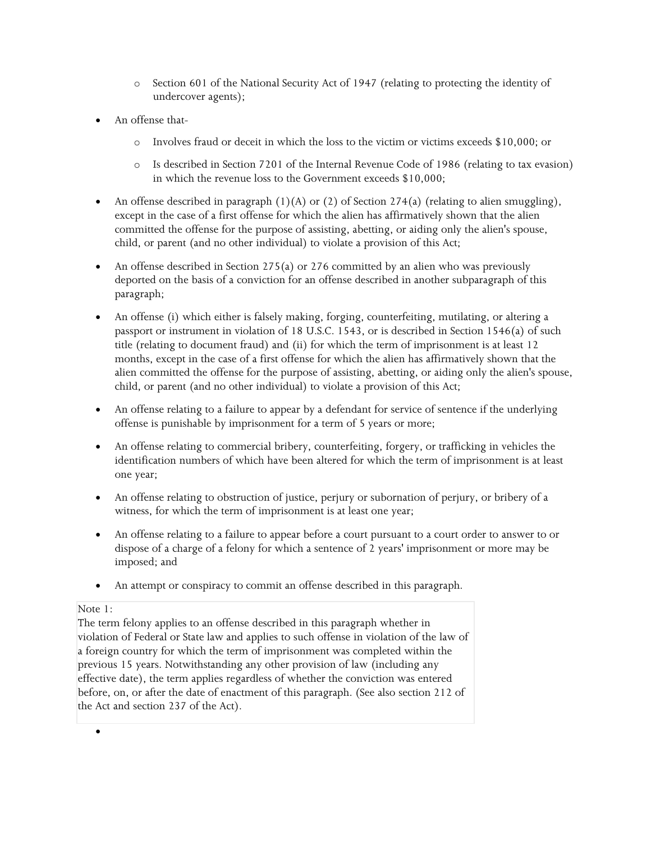- o Section 601 of the National Security Act of 1947 (relating to protecting the identity of undercover agents);
- An offense that
	- o Involves fraud or deceit in which the loss to the victim or victims exceeds \$10,000; or
	- o Is described in Section 7201 of the Internal Revenue Code of 1986 (relating to tax evasion) in which the revenue loss to the Government exceeds \$10,000;
- An offense described in paragraph  $(1)(A)$  or  $(2)$  of Section 274(a) (relating to alien smuggling), except in the case of a first offense for which the alien has affirmatively shown that the alien committed the offense for the purpose of assisting, abetting, or aiding only the alien's spouse, child, or parent (and no other individual) to violate a provision of this Act;
- An offense described in Section 275(a) or 276 committed by an alien who was previously deported on the basis of a conviction for an offense described in another subparagraph of this paragraph;
- passport or instrument in violation of 18 U.S.C. 1543, or is described in Section 1546(a) of such months, except in the case of a first offense for which the alien has affirmatively shown that the alien committed the offense for the purpose of assisting, abetting, or aiding only the alien's spouse, • An offense (i) which either is falsely making, forging, counterfeiting, mutilating, or altering a title (relating to document fraud) and (ii) for which the term of imprisonment is at least 12 child, or parent (and no other individual) to violate a provision of this Act;
- offense is punishable by imprisonment for a term of 5 years or more; • An offense relating to a failure to appear by a defendant for service of sentence if the underlying
- identification numbers of which have been altered for which the term of imprisonment is at least • An offense relating to commercial bribery, counterfeiting, forgery, or trafficking in vehicles the one year;
- • An offense relating to obstruction of justice, perjury or subornation of perjury, or bribery of a witness, for which the term of imprisonment is at least one year;
- dispose of a charge of a felony for which a sentence of 2 years' imprisonment or more may be • An offense relating to a failure to appear before a court pursuant to a court order to answer to or imposed; and
- An attempt or conspiracy to commit an offense described in this paragraph.

## Note 1:

 violation of Federal or State law and applies to such offense in violation of the law of before, on, or after the date of enactment of this paragraph. (See also section 212 of the Act and section 237 of the Act). The term felony applies to an offense described in this paragraph whether in a foreign country for which the term of imprisonment was completed within the previous 15 years. Notwithstanding any other provision of law (including any effective date), the term applies regardless of whether the conviction was entered

•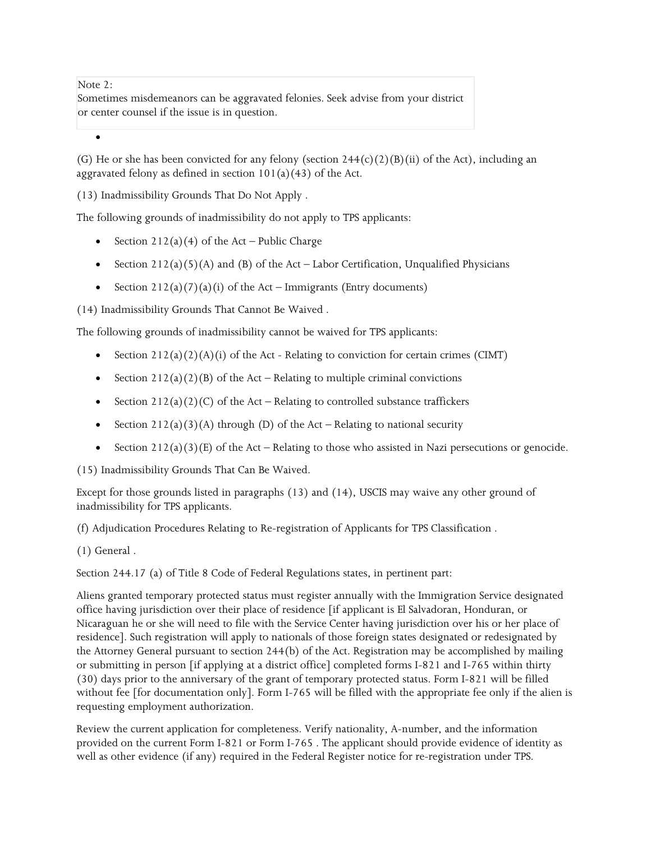Note 2:

 Sometimes misdemeanors can be aggravated felonies. Seek advise from your district or center counsel if the issue is in question.

•

aggravated felony as defined in section  $101(a)(43)$  of the Act. (G) He or she has been convicted for any felony (section  $244(c)(2)(B)(ii)$  of the Act), including an

(13) Inadmissibility Grounds That Do Not Apply .

The following grounds of inadmissibility do not apply to TPS applicants:

- Section  $212(a)(4)$  of the Act Public Charge
- Section  $212(a)(5)(A)$  and (B) of the Act Labor Certification, Unqualified Physicians
- Section  $212(a)(7)(a)(i)$  of the Act Immigrants (Entry documents)

(14) Inadmissibility Grounds That Cannot Be Waived .

The following grounds of inadmissibility cannot be waived for TPS applicants:

- Section  $212(a)(2)(A)(i)$  of the Act Relating to conviction for certain crimes (CIMT)
- Section  $212(a)(2)(B)$  of the Act Relating to multiple criminal convictions
- Section  $212(a)(2)(C)$  of the Act Relating to controlled substance traffickers
- Section  $212(a)(3)(A)$  through (D) of the Act Relating to national security
- Section  $212(a)(3)$  (E) of the Act Relating to those who assisted in Nazi persecutions or genocide.

(15) Inadmissibility Grounds That Can Be Waived.

Except for those grounds listed in paragraphs (13) and (14), USCIS may waive any other ground of inadmissibility for TPS applicants.

(f) Adjudication Procedures Relating to Re-registration of Applicants for TPS Classification .

(1) General .

Section 244.17 (a) of Title 8 Code of Federal Regulations states, in pertinent part:

 Aliens granted temporary protected status must register annually with the Immigration Service designated office having jurisdiction over their place of residence [if applicant is El Salvadoran, Honduran, or Nicaraguan he or she will need to file with the Service Center having jurisdiction over his or her place of the Attorney General pursuant to section 244(b) of the Act. Registration may be accomplished by mailing or submitting in person [if applying at a district office] completed forms I-821 and I-765 within thirty residence]. Such registration will apply to nationals of those foreign states designated or redesignated by (30) days prior to the anniversary of the grant of temporary protected status. Form I-821 will be filled without fee [for documentation only]. Form I-765 will be filled with the appropriate fee only if the alien is requesting employment authorization.

 Review the current application for completeness. Verify nationality, A-number, and the information well as other evidence (if any) required in the Federal Register notice for re-registration under TPS. provided on the current Form I-821 or Form I-765 . The applicant should provide evidence of identity as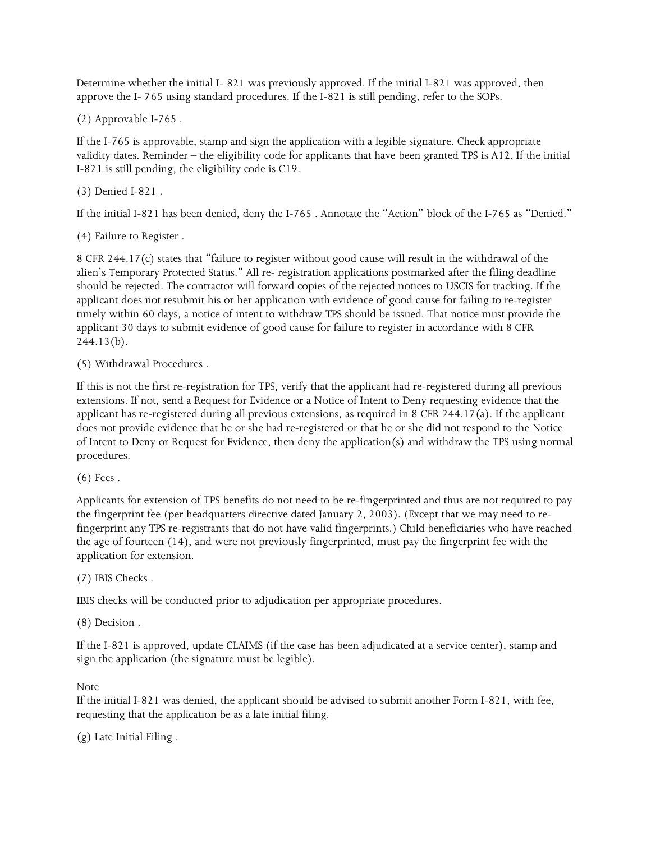approve the I- 765 using standard procedures. If the I-821 is still pending, refer to the SOPs. Determine whether the initial I- 821 was previously approved. If the initial I-821 was approved, then

(2) Approvable I-765 .

 validity dates. Reminder – the eligibility code for applicants that have been granted TPS is A12. If the initial If the I-765 is approvable, stamp and sign the application with a legible signature. Check appropriate I-821 is still pending, the eligibility code is C19.

(3) Denied I-821 .

If the initial I-821 has been denied, deny the I-765 . Annotate the "Action" block of the I-765 as "Denied."

(4) Failure to Register .

 8 CFR 244.17(c) states that "failure to register without good cause will result in the withdrawal of the alien's Temporary Protected Status." All re- registration applications postmarked after the filing deadline should be rejected. The contractor will forward copies of the rejected notices to USCIS for tracking. If the applicant does not resubmit his or her application with evidence of good cause for failing to re-register timely within 60 days, a notice of intent to withdraw TPS should be issued. That notice must provide the applicant 30 days to submit evidence of good cause for failure to register in accordance with 8 CFR  $244.13(b)$ .

(5) Withdrawal Procedures .

 does not provide evidence that he or she had re-registered or that he or she did not respond to the Notice of Intent to Deny or Request for Evidence, then deny the application(s) and withdraw the TPS using normal If this is not the first re-registration for TPS, verify that the applicant had re-registered during all previous extensions. If not, send a Request for Evidence or a Notice of Intent to Deny requesting evidence that the applicant has re-registered during all previous extensions, as required in 8 CFR 244.17(a). If the applicant procedures.

(6) Fees .

 the age of fourteen (14), and were not previously fingerprinted, must pay the fingerprint fee with the Applicants for extension of TPS benefits do not need to be re-fingerprinted and thus are not required to pay the fingerprint fee (per headquarters directive dated January 2, 2003). (Except that we may need to refingerprint any TPS re-registrants that do not have valid fingerprints.) Child beneficiaries who have reached application for extension.

(7) IBIS Checks .

IBIS checks will be conducted prior to adjudication per appropriate procedures.

(8) Decision .

 sign the application (the signature must be legible). If the I-821 is approved, update CLAIMS (if the case has been adjudicated at a service center), stamp and

Note

 If the initial I-821 was denied, the applicant should be advised to submit another Form I-821, with fee, requesting that the application be as a late initial filing.

(g) Late Initial Filing .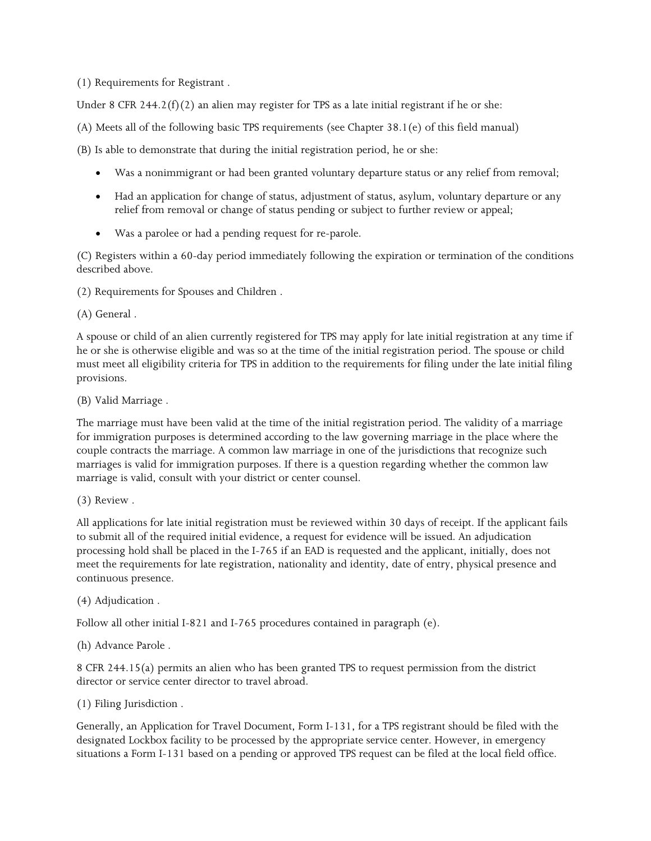(1) Requirements for Registrant .

Under 8 CFR 244.2 $(f)(2)$  an alien may register for TPS as a late initial registrant if he or she:

(A) Meets all of the following basic TPS requirements (see Chapter 38.1(e) of this field manual)

(B) Is able to demonstrate that during the initial registration period, he or she:

- Was a nonimmigrant or had been granted voluntary departure status or any relief from removal;
- • Had an application for change of status, adjustment of status, asylum, voluntary departure or any relief from removal or change of status pending or subject to further review or appeal;
- Was a parolee or had a pending request for re-parole.

(C) Registers within a 60-day period immediately following the expiration or termination of the conditions described above.

(2) Requirements for Spouses and Children .

(A) General .

 he or she is otherwise eligible and was so at the time of the initial registration period. The spouse or child A spouse or child of an alien currently registered for TPS may apply for late initial registration at any time if must meet all eligibility criteria for TPS in addition to the requirements for filing under the late initial filing provisions.

(B) Valid Marriage .

The marriage must have been valid at the time of the initial registration period. The validity of a marriage for immigration purposes is determined according to the law governing marriage in the place where the couple contracts the marriage. A common law marriage in one of the jurisdictions that recognize such marriages is valid for immigration purposes. If there is a question regarding whether the common law marriage is valid, consult with your district or center counsel.

(3) Review .

All applications for late initial registration must be reviewed within 30 days of receipt. If the applicant fails to submit all of the required initial evidence, a request for evidence will be issued. An adjudication processing hold shall be placed in the I-765 if an EAD is requested and the applicant, initially, does not meet the requirements for late registration, nationality and identity, date of entry, physical presence and continuous presence.

## (4) Adjudication .

Follow all other initial I-821 and I-765 procedures contained in paragraph (e).

## (h) Advance Parole .

 8 CFR 244.15(a) permits an alien who has been granted TPS to request permission from the district director or service center director to travel abroad.

## (1) Filing Jurisdiction .

 designated Lockbox facility to be processed by the appropriate service center. However, in emergency Generally, an Application for Travel Document, Form I-131, for a TPS registrant should be filed with the situations a Form I-131 based on a pending or approved TPS request can be filed at the local field office.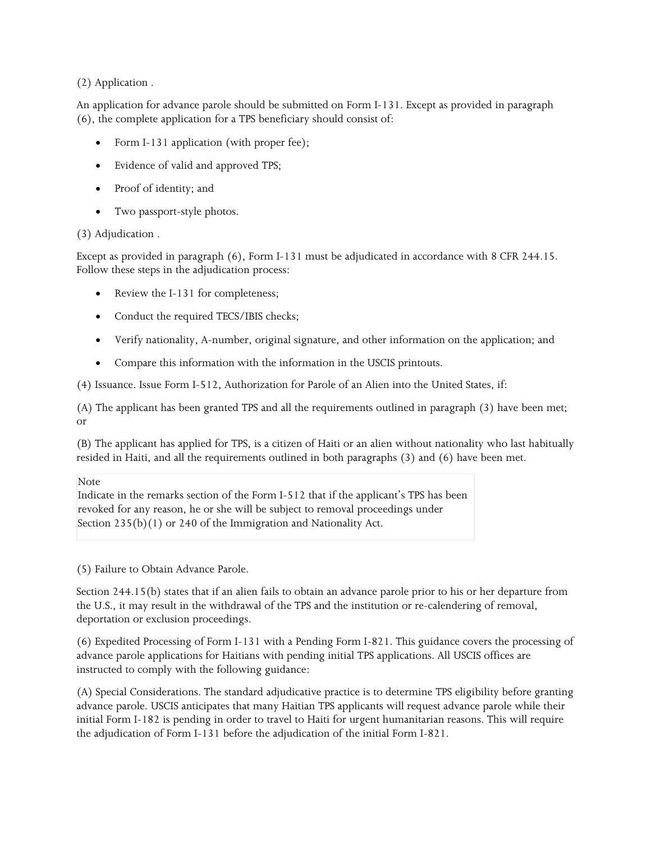# (2) Application .

An application for advance parole should be submitted on Form I-131. Except as provided in paragraph (6), the complete application for a TPS beneficiary should consist of:

- Form I-131 application (with proper fee);
- Evidence of valid and approved TPS;
- Proof of identity; and
- Two passport-style photos.

# (3) Adjudication .

Except as provided in paragraph (6), Form I-131 must be adjudicated in accordance with 8 CFR 244.15. Follow these steps in the adjudication process:

- Review the I-131 for completeness;
- Conduct the required TECS/IBIS checks;
- Verify nationality, A-number, original signature, and other information on the application; and
- Compare this information with the information in the USCIS printouts.

(4) Issuance. Issue Form I-512, Authorization for Parole of an Alien into the United States, if:

(A) The applicant has been granted TPS and all the requirements outlined in paragraph (3) have been met; or

(B) The applicant has applied for TPS, is a citizen of Haiti or an alien without nationality who last habitually resided in Haiti, and all the requirements outlined in both paragraphs (3) and (6) have been met.

#### Note

 Indicate in the remarks section of the Form I-512 that if the applicant's TPS has been revoked for any reason, he or she will be subject to removal proceedings under Section 235(b)(1) or 240 of the Immigration and Nationality Act.

(5) Failure to Obtain Advance Parole.

 Section 244.15(b) states that if an alien fails to obtain an advance parole prior to his or her departure from the U.S., it may result in the withdrawal of the TPS and the institution or re-calendering of removal, deportation or exclusion proceedings.

 (6) Expedited Processing of Form I-131 with a Pending Form I-821. This guidance covers the processing of advance parole applications for Haitians with pending initial TPS applications. All USCIS offices are instructed to comply with the following guidance:

 advance parole. USCIS anticipates that many Haitian TPS applicants will request advance parole while their (A) Special Considerations. The standard adjudicative practice is to determine TPS eligibility before granting initial Form I-182 is pending in order to travel to Haiti for urgent humanitarian reasons. This will require the adjudication of Form I-131 before the adjudication of the initial Form I-821.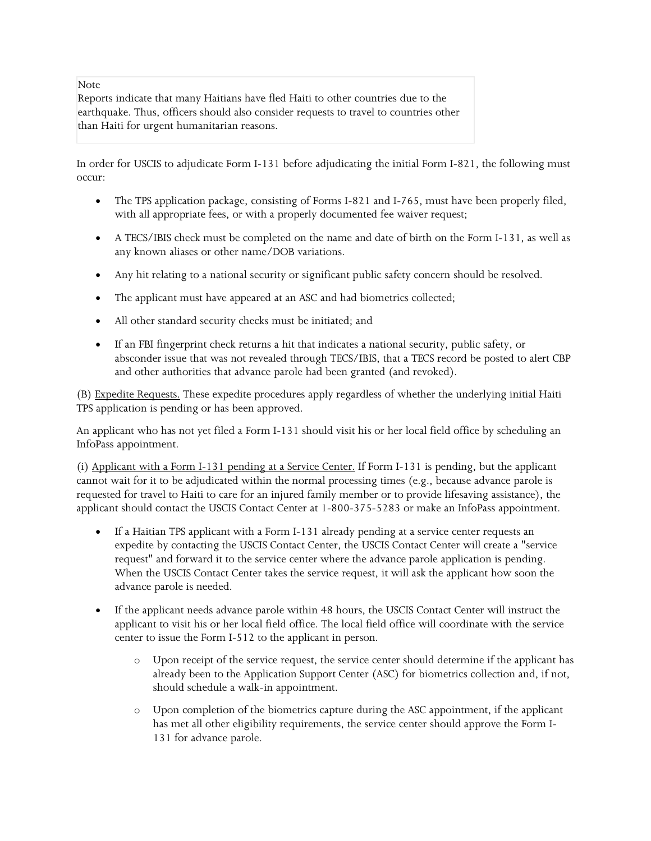Note

 Reports indicate that many Haitians have fled Haiti to other countries due to the earthquake. Thus, officers should also consider requests to travel to countries other than Haiti for urgent humanitarian reasons.

In order for USCIS to adjudicate Form I-131 before adjudicating the initial Form I-821, the following must occur:

- • The TPS application package, consisting of Forms I-821 and I-765, must have been properly filed, with all appropriate fees, or with a properly documented fee waiver request;
- • A TECS/IBIS check must be completed on the name and date of birth on the Form I-131, as well as any known aliases or other name/DOB variations.
- Any hit relating to a national security or significant public safety concern should be resolved.
- The applicant must have appeared at an ASC and had biometrics collected;
- All other standard security checks must be initiated; and
- If an FBI fingerprint check returns a hit that indicates a national security, public safety, or absconder issue that was not revealed through TECS/IBIS, that a TECS record be posted to alert CBP and other authorities that advance parole had been granted (and revoked).

(B) Expedite Requests. These expedite procedures apply regardless of whether the underlying initial Haiti TPS application is pending or has been approved.

 An applicant who has not yet filed a Form I-131 should visit his or her local field office by scheduling an InfoPass appointment.

(i) Applicant with a Form I-131 pending at a Service Center. If Form I-131 is pending, but the applicant cannot wait for it to be adjudicated within the normal processing times (e.g., because advance parole is requested for travel to Haiti to care for an injured family member or to provide lifesaving assistance), the applicant should contact the USCIS Contact Center at 1-800-375-5283 or make an InfoPass appointment.

- expedite by contacting the USCIS Contact Center, the USCIS Contact Center will create a "service request" and forward it to the service center where the advance parole application is pending. If a Haitian TPS applicant with a Form I-131 already pending at a service center requests an When the USCIS Contact Center takes the service request, it will ask the applicant how soon the advance parole is needed.
- applicant to visit his or her local field office. The local field office will coordinate with the service If the applicant needs advance parole within 48 hours, the USCIS Contact Center will instruct the center to issue the Form I-512 to the applicant in person.
	- already been to the Application Support Center (ASC) for biometrics collection and, if not, o Upon receipt of the service request, the service center should determine if the applicant has should schedule a walk-in appointment.
	- o Upon completion of the biometrics capture during the ASC appointment, if the applicant has met all other eligibility requirements, the service center should approve the Form I-131 for advance parole.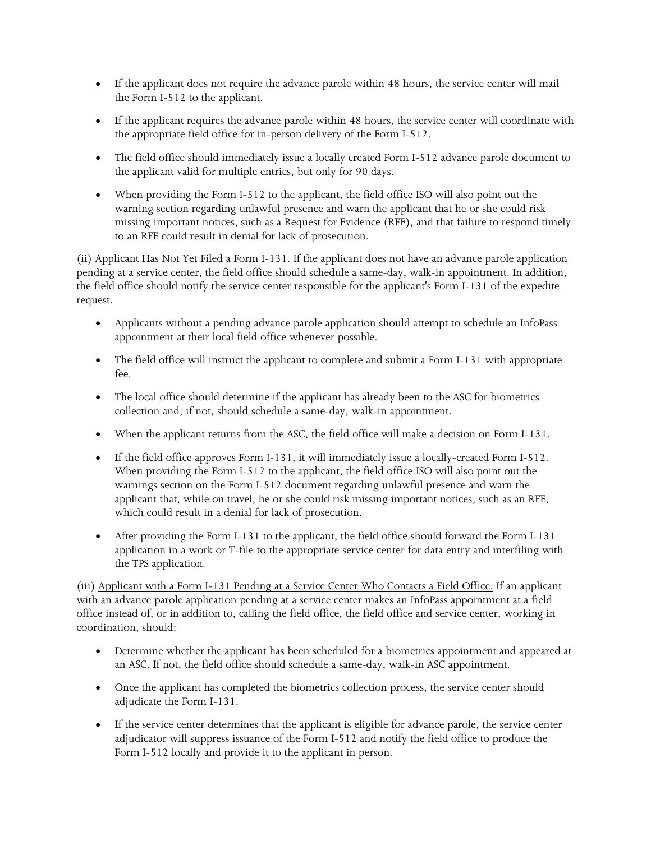- If the applicant does not require the advance parole within 48 hours, the service center will mail the Form I-512 to the applicant.
- • If the applicant requires the advance parole within 48 hours, the service center will coordinate with the appropriate field office for in-person delivery of the Form I-512.
- The field office should immediately issue a locally created Form I-512 advance parole document to the applicant valid for multiple entries, but only for 90 days.
- • When providing the Form I-512 to the applicant, the field office ISO will also point out the missing important notices, such as a Request for Evidence (RFE), and that failure to respond timely warning section regarding unlawful presence and warn the applicant that he or she could risk to an RFE could result in denial for lack of prosecution.

 the field office should notify the service center responsible for the applicant's Form I-131 of the expedite (ii) Applicant Has Not Yet Filed a Form I-131. If the applicant does not have an advance parole application pending at a service center, the field office should schedule a same-day, walk-in appointment. In addition, request.

- Applicants without a pending advance parole application should attempt to schedule an InfoPass appointment at their local field office whenever possible.
- The field office will instruct the applicant to complete and submit a Form I-131 with appropriate fee.
- • The local office should determine if the applicant has already been to the ASC for biometrics collection and, if not, should schedule a same-day, walk-in appointment.
- When the applicant returns from the ASC, the field office will make a decision on Form I-131.
- When providing the Form I-512 to the applicant, the field office ISO will also point out the • If the field office approves Form I-131, it will immediately issue a locally-created Form I-512. warnings section on the Form I-512 document regarding unlawful presence and warn the applicant that, while on travel, he or she could risk missing important notices, such as an RFE, which could result in a denial for lack of prosecution.
- After providing the Form I-131 to the applicant, the field office should forward the Form I-131 application in a work or T-file to the appropriate service center for data entry and interfiling with the TPS application.

 with an advance parole application pending at a service center makes an InfoPass appointment at a field (iii) Applicant with a Form I-131 Pending at a Service Center Who Contacts a Field Office. If an applicant office instead of, or in addition to, calling the field office, the field office and service center, working in coordination, should:

- Determine whether the applicant has been scheduled for a biometrics appointment and appeared at an ASC. If not, the field office should schedule a same-day, walk-in ASC appointment.
- Once the applicant has completed the biometrics collection process, the service center should adjudicate the Form I-131.
- adjudicator will suppress issuance of the Form I-512 and notify the field office to produce the • If the service center determines that the applicant is eligible for advance parole, the service center Form I-512 locally and provide it to the applicant in person.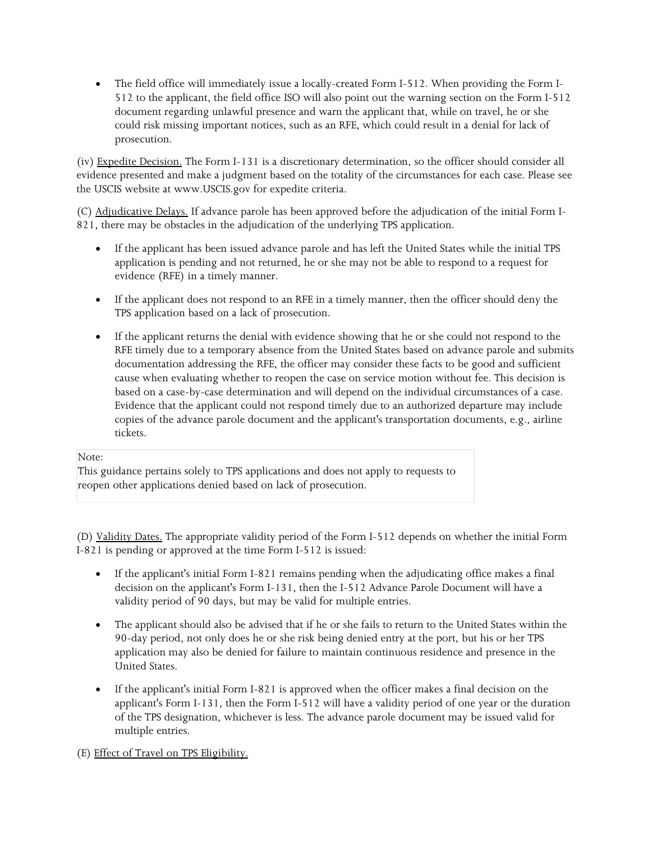document regarding unlawful presence and warn the applicant that, while on travel, he or she could risk missing important notices, such as an RFE, which could result in a denial for lack of • The field office will immediately issue a locally-created Form I-512. When providing the Form I-512 to the applicant, the field office ISO will also point out the warning section on the Form I-512 prosecution.

(iv) Expedite Decision. The Form I-131 is a discretionary determination, so the officer should consider all evidence presented and make a judgment based on the totality of the circumstances for each case. Please see the USCIS website at <www.USCIS.gov> for expedite criteria.

(C) Adjudicative Delays. If advance parole has been approved before the adjudication of the initial Form I-821, there may be obstacles in the adjudication of the underlying TPS application.

- • If the applicant has been issued advance parole and has left the United States while the initial TPS application is pending and not returned, he or she may not be able to respond to a request for evidence (RFE) in a timely manner.
- • If the applicant does not respond to an RFE in a timely manner, then the officer should deny the TPS application based on a lack of prosecution.
- • If the applicant returns the denial with evidence showing that he or she could not respond to the documentation addressing the RFE, the officer may consider these facts to be good and sufficient RFE timely due to a temporary absence from the United States based on advance parole and submits cause when evaluating whether to reopen the case on service motion without fee. This decision is based on a case-by-case determination and will depend on the individual circumstances of a case. Evidence that the applicant could not respond timely due to an authorized departure may include copies of the advance parole document and the applicant's transportation documents, e.g., airline tickets.

## Note:

This guidance pertains solely to TPS applications and does not apply to requests to reopen other applications denied based on lack of prosecution.

 (D) Validity Dates. The appropriate validity period of the Form I-512 depends on whether the initial Form I-821 is pending or approved at the time Form I-512 is issued:

- decision on the applicant's Form I-131, then the I-512 Advance Parole Document will have a If the applicant's initial Form I-821 remains pending when the adjudicating office makes a final validity period of 90 days, but may be valid for multiple entries.
- • The applicant should also be advised that if he or she fails to return to the United States within the 90-day period, not only does he or she risk being denied entry at the port, but his or her TPS application may also be denied for failure to maintain continuous residence and presence in the United States.
- of the TPS designation, whichever is less. The advance parole document may be issued valid for • If the applicant's initial Form I-821 is approved when the officer makes a final decision on the applicant's Form I-131, then the Form I-512 will have a validity period of one year or the duration multiple entries.

(E) Effect of Travel on TPS Eligibility.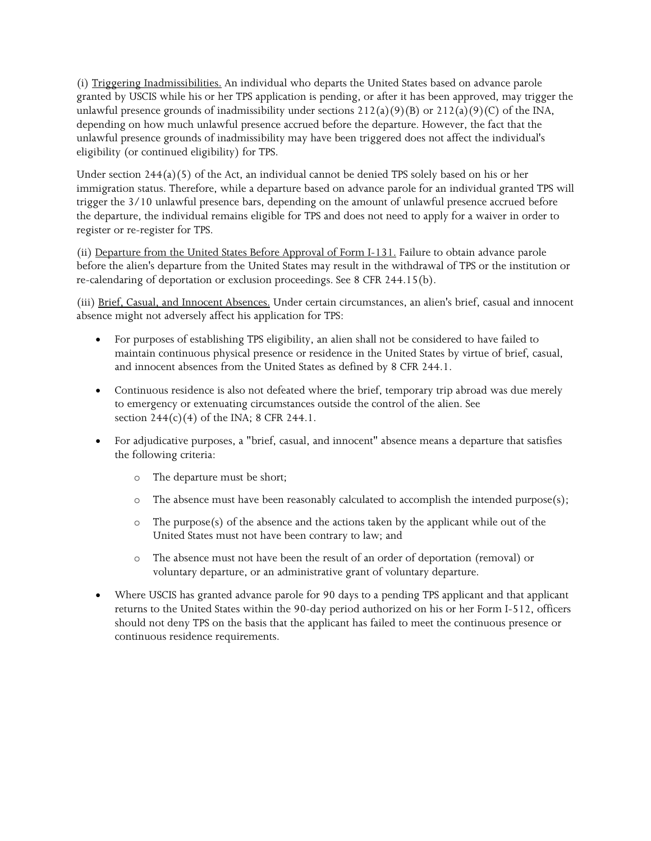unlawful presence grounds of inadmissibility under sections  $212(a)(9)(B)$  or  $212(a)(9)(C)$  of the INA, depending on how much unlawful presence accrued before the departure. However, the fact that the unlawful presence grounds of inadmissibility may have been triggered does not affect the individual's (i) Triggering Inadmissibilities. An individual who departs the United States based on advance parole granted by USCIS while his or her TPS application is pending, or after it has been approved, may trigger the eligibility (or continued eligibility) for TPS.

 Under section 244(a)(5) of the Act, an individual cannot be denied TPS solely based on his or her the departure, the individual remains eligible for TPS and does not need to apply for a waiver in order to immigration status. Therefore, while a departure based on advance parole for an individual granted TPS will trigger the 3/10 unlawful presence bars, depending on the amount of unlawful presence accrued before register or re-register for TPS.

 before the alien's departure from the United States may result in the withdrawal of TPS or the institution or (ii) Departure from the United States Before Approval of Form I-131. Failure to obtain advance parole re-calendaring of deportation or exclusion proceedings. See 8 CFR 244.15(b).

(iii) Brief, Casual, and Innocent Absences. Under certain circumstances, an alien's brief, casual and innocent absence might not adversely affect his application for TPS:

- For purposes of establishing TPS eligibility, an alien shall not be considered to have failed to maintain continuous physical presence or residence in the United States by virtue of brief, casual, and innocent absences from the United States as defined by 8 CFR 244.1.
- • Continuous residence is also not defeated where the brief, temporary trip abroad was due merely to emergency or extenuating circumstances outside the control of the alien. See section  $244(c)(4)$  of the INA; 8 CFR 244.1.
- • For adjudicative purposes, a "brief, casual, and innocent" absence means a departure that satisfies the following criteria:
	- o The departure must be short;
	- $\circ$  The absence must have been reasonably calculated to accomplish the intended purpose(s);
	- $\circ$  The purpose(s) of the absence and the actions taken by the applicant while out of the United States must not have been contrary to law; and
	- voluntary departure, or an administrative grant of voluntary departure. o The absence must not have been the result of an order of deportation (removal) or
- should not deny TPS on the basis that the applicant has failed to meet the continuous presence or • Where USCIS has granted advance parole for 90 days to a pending TPS applicant and that applicant returns to the United States within the 90-day period authorized on his or her Form I-512, officers continuous residence requirements.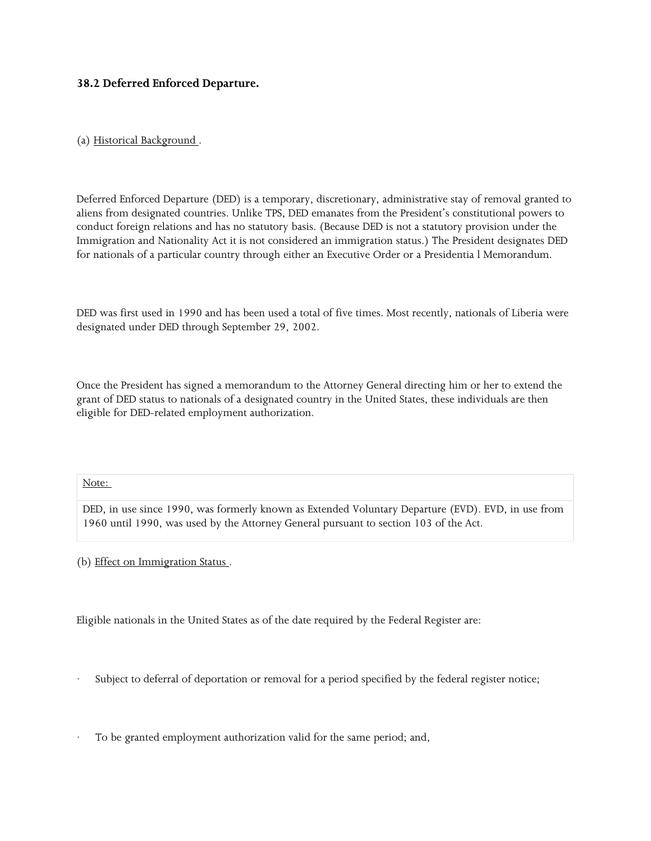## **38.2 Deferred Enforced Departure.**

# (a) Historical Background .

 conduct foreign relations and has no statutory basis. (Because DED is not a statutory provision under the for nationals of a particular country through either an Executive Order or a Presidentia l Memorandum. Deferred Enforced Departure (DED) is a temporary, discretionary, administrative stay of removal granted to aliens from designated countries. Unlike TPS, DED emanates from the President's constitutional powers to Immigration and Nationality Act it is not considered an immigration status.) The President designates DED

 DED was first used in 1990 and has been used a total of five times. Most recently, nationals of Liberia were designated under DED through September 29, 2002.

 Once the President has signed a memorandum to the Attorney General directing him or her to extend the grant of DED status to nationals of a designated country in the United States, these individuals are then eligible for DED-related employment authorization.

#### Note:

 1960 until 1990, was used by the Attorney General pursuant to section 103 of the Act. DED, in use since 1990, was formerly known as Extended Voluntary Departure (EVD). EVD, in use from

(b) Effect on Immigration Status .

Eligible nationals in the United States as of the date required by the Federal Register are:

Subject to deferral of deportation or removal for a period specified by the federal register notice;

To be granted employment authorization valid for the same period; and,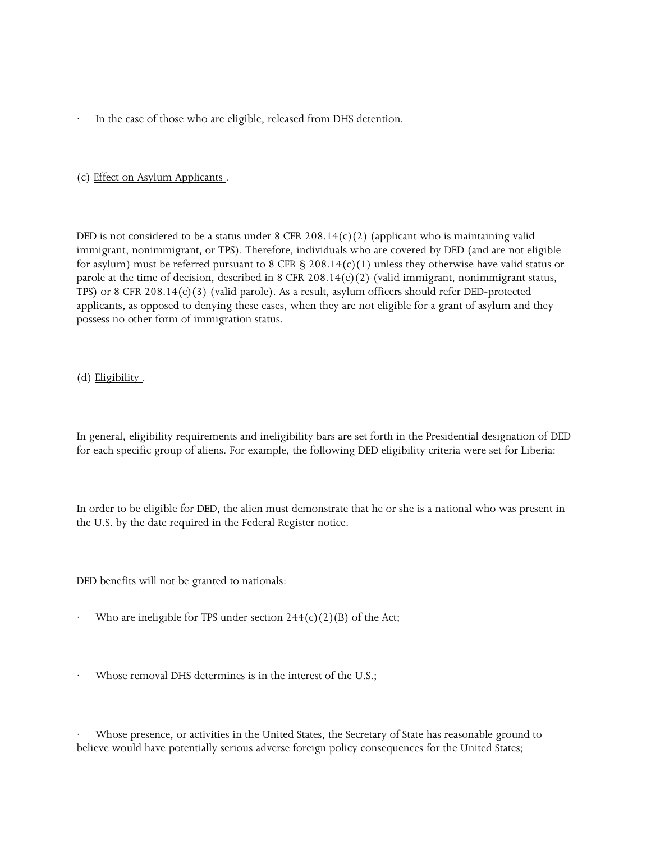In the case of those who are eligible, released from DHS detention.

#### (c) Effect on Asylum Applicants .

 for asylum) must be referred pursuant to 8 CFR § 208.14(c)(1) unless they otherwise have valid status or TPS) or 8 CFR 208.14(c)(3) (valid parole). As a result, asylum officers should refer DED-protected possess no other form of immigration status. DED is not considered to be a status under  $8$  CFR 208.14(c)(2) (applicant who is maintaining valid immigrant, nonimmigrant, or TPS). Therefore, individuals who are covered by DED (and are not eligible parole at the time of decision, described in 8 CFR 208.14(c)(2) (valid immigrant, nonimmigrant status, applicants, as opposed to denying these cases, when they are not eligible for a grant of asylum and they

#### (d) Eligibility .

In general, eligibility requirements and ineligibility bars are set forth in the Presidential designation of DED for each specific group of aliens. For example, the following DED eligibility criteria were set for Liberia:

 In order to be eligible for DED, the alien must demonstrate that he or she is a national who was present in the U.S. by the date required in the Federal Register notice.

DED benefits will not be granted to nationals:

- Who are ineligible for TPS under section  $244(c)(2)(B)$  of the Act;
- Whose removal DHS determines is in the interest of the U.S.;

Whose presence, or activities in the United States, the Secretary of State has reasonable ground to believe would have potentially serious adverse foreign policy consequences for the United States;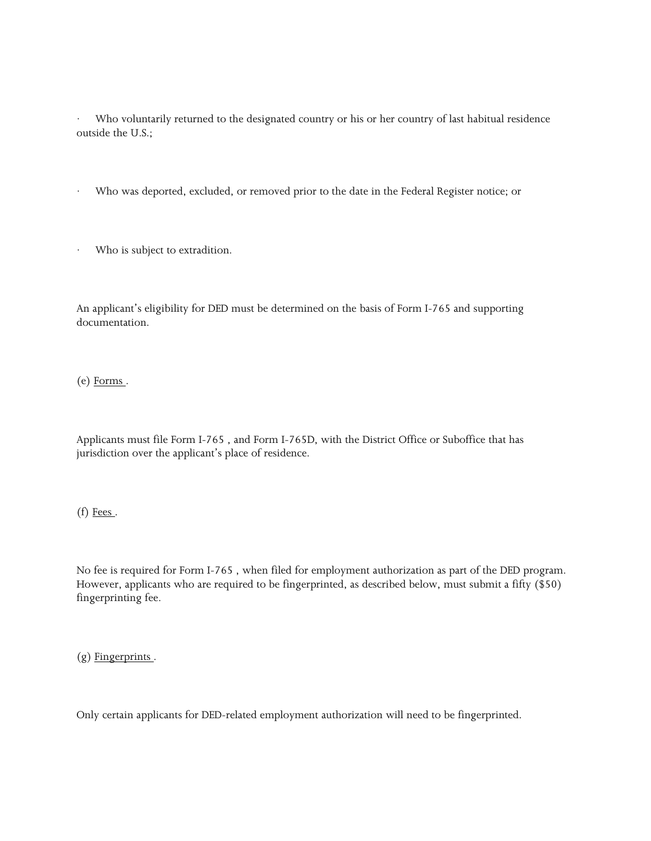Who voluntarily returned to the designated country or his or her country of last habitual residence outside the U.S.;

- Who was deported, excluded, or removed prior to the date in the Federal Register notice; or
- Who is subject to extradition.

 An applicant's eligibility for DED must be determined on the basis of Form I-765 and supporting documentation.

(e) Forms .

 Applicants must file Form I-765 , and Form I-765D, with the District Office or Suboffice that has jurisdiction over the applicant's place of residence.

(f) Fees.

 No fee is required for Form I-765 , when filed for employment authorization as part of the DED program. However, applicants who are required to be fingerprinted, as described below, must submit a fifty (\$50) fingerprinting fee.

 $(g)$  Fingerprints.

Only certain applicants for DED-related employment authorization will need to be fingerprinted.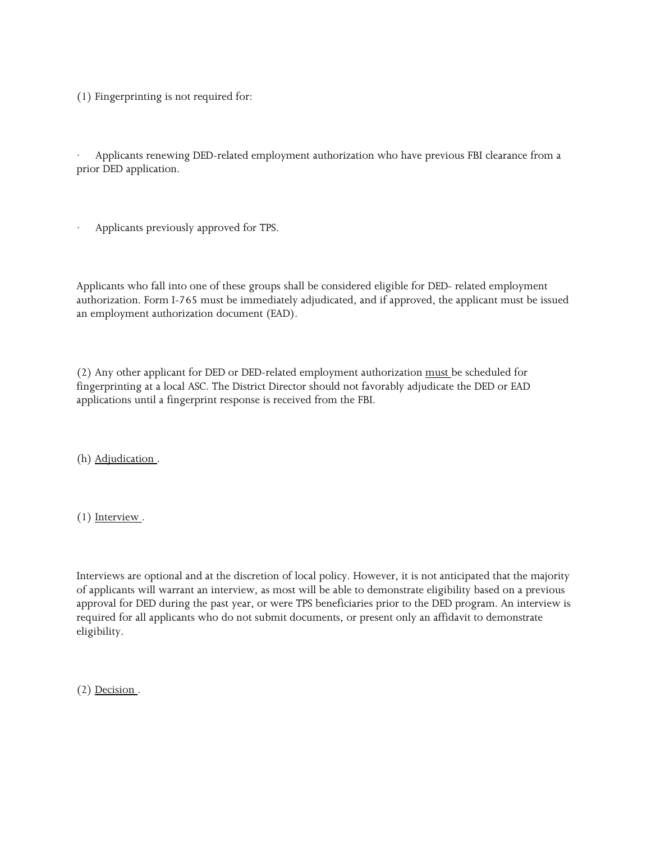(1) Fingerprinting is not required for:

· Applicants renewing DED-related employment authorization who have previous FBI clearance from a prior DED application.

Applicants previously approved for TPS.

 authorization. Form I-765 must be immediately adjudicated, and if approved, the applicant must be issued Applicants who fall into one of these groups shall be considered eligible for DED- related employment an employment authorization document (EAD).

(2) Any other applicant for DED or DED-related employment authorization must be scheduled for fingerprinting at a local ASC. The District Director should not favorably adjudicate the DED or EAD applications until a fingerprint response is received from the FBI.

(h) Adjudication .

 $(1)$  Interview.

 Interviews are optional and at the discretion of local policy. However, it is not anticipated that the majority approval for DED during the past year, or were TPS beneficiaries prior to the DED program. An interview is required for all applicants who do not submit documents, or present only an affidavit to demonstrate of applicants will warrant an interview, as most will be able to demonstrate eligibility based on a previous eligibility.

(2) Decision .